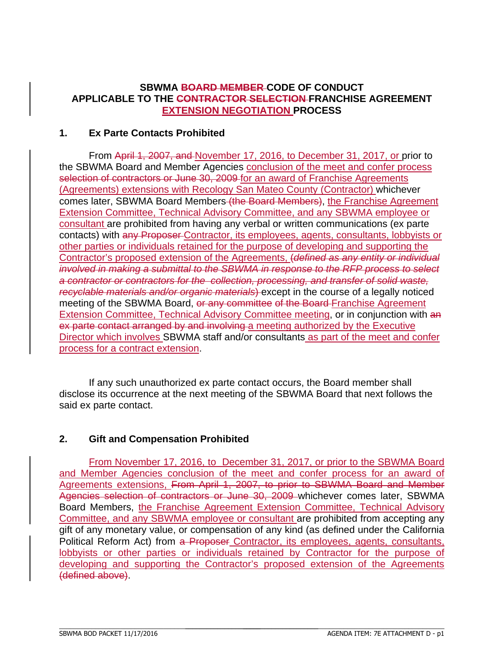## **SBWMA BOARD MEMBER CODE OF CONDUCT APPLICABLE TO THE CONTRACTOR SELECTION FRANCHISE AGREEMENT EXTENSION NEGOTIATION PROCESS**

## **1. Ex Parte Contacts Prohibited**

 From April 1, 2007, and November 17, 2016, to December 31, 2017, or prior to the SBWMA Board and Member Agencies conclusion of the meet and confer process selection of contractors or June 30, 2009 for an award of Franchise Agreements (Agreements) extensions with Recology San Mateo County (Contractor) whichever comes later, SBWMA Board Members (the Board Members), the Franchise Agreement Extension Committee, Technical Advisory Committee, and any SBWMA employee or consultant are prohibited from having any verbal or written communications (ex parte contacts) with any Proposer Contractor, its employees, agents, consultants, lobbyists or other parties or individuals retained for the purpose of developing and supporting the Contractor's proposed extension of the Agreements, (*defined as any entity or individual involved in making a submittal to the SBWMA in response to the RFP process to select a contractor or contractors for the collection, processing, and transfer of solid waste, recyclable materials and/or organic materials*) except in the course of a legally noticed meeting of the SBWMA Board, or any committee of the Board Franchise Agreement Extension Committee, Technical Advisory Committee meeting, or in conjunction with an ex parte contact arranged by and involving a meeting authorized by the Executive Director which involves SBWMA staff and/or consultants as part of the meet and confer process for a contract extension.

 If any such unauthorized ex parte contact occurs, the Board member shall disclose its occurrence at the next meeting of the SBWMA Board that next follows the said ex parte contact.

## **2. Gift and Compensation Prohibited**

From November 17, 2016, to December 31, 2017, or prior to the SBWMA Board and Member Agencies conclusion of the meet and confer process for an award of Agreements extensions, From April 1, 2007, to prior to SBWMA Board and Member Agencies selection of contractors or June 30, 2009 whichever comes later, SBWMA Board Members, the Franchise Agreement Extension Committee, Technical Advisory Committee, and any SBWMA employee or consultant are prohibited from accepting any gift of any monetary value, or compensation of any kind (as defined under the California Political Reform Act) from a Proposer Contractor, its employees, agents, consultants, lobbyists or other parties or individuals retained by Contractor for the purpose of developing and supporting the Contractor's proposed extension of the Agreements (defined above).

 $\_$  , and the state of the state of the state of the state of the state of the state of the state of the state of the state of the state of the state of the state of the state of the state of the state of the state of the